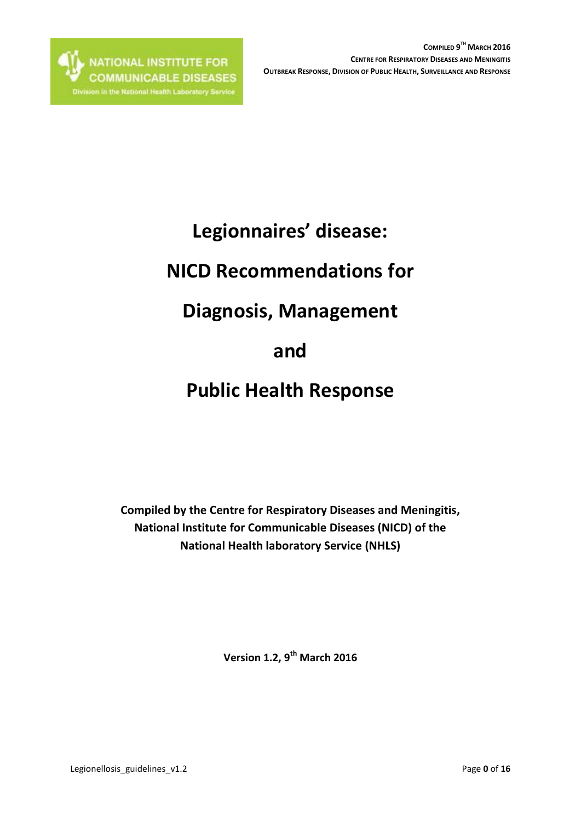# **Legionnaires' disease:**

# **NICD Recommendations for**

# **Diagnosis, Management**

# **and**

# **Public Health Response**

**Compiled by the Centre for Respiratory Diseases and Meningitis, National Institute for Communicable Diseases (NICD) of the National Health laboratory Service (NHLS)**

**Version 1.2, 9 th March 2016**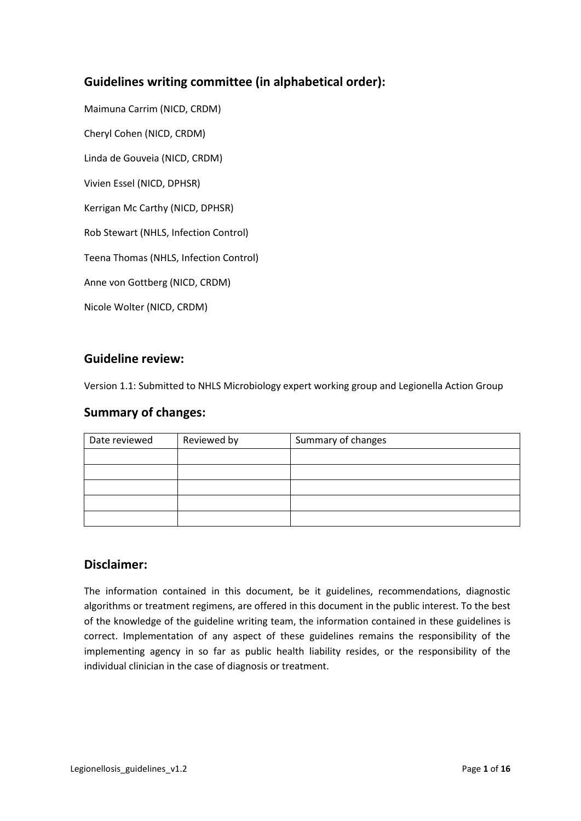# **Guidelines writing committee (in alphabetical order):**

Maimuna Carrim (NICD, CRDM) Cheryl Cohen (NICD, CRDM) Linda de Gouveia (NICD, CRDM) Vivien Essel (NICD, DPHSR) Kerrigan Mc Carthy (NICD, DPHSR) Rob Stewart (NHLS, Infection Control) Teena Thomas (NHLS, Infection Control) Anne von Gottberg (NICD, CRDM)

Nicole Wolter (NICD, CRDM)

## **Guideline review:**

Version 1.1: Submitted to NHLS Microbiology expert working group and Legionella Action Group

## **Summary of changes:**

| Date reviewed | Reviewed by | Summary of changes |
|---------------|-------------|--------------------|
|               |             |                    |
|               |             |                    |
|               |             |                    |
|               |             |                    |
|               |             |                    |

## **Disclaimer:**

The information contained in this document, be it guidelines, recommendations, diagnostic algorithms or treatment regimens, are offered in this document in the public interest. To the best of the knowledge of the guideline writing team, the information contained in these guidelines is correct. Implementation of any aspect of these guidelines remains the responsibility of the implementing agency in so far as public health liability resides, or the responsibility of the individual clinician in the case of diagnosis or treatment.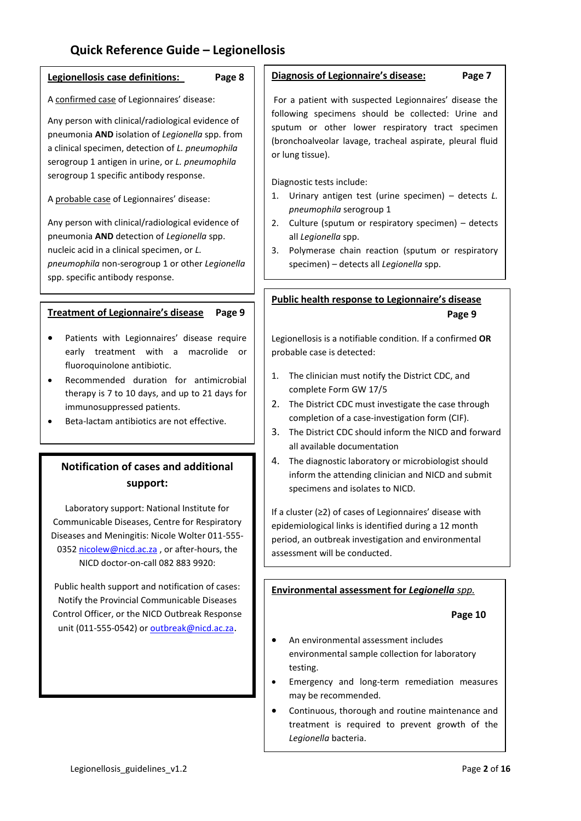# **Quick Reference Guide – Legionellosis**

#### **Legionellosis case definitions: Page 8**

#### A confirmed case of Legionnaires' disease:

Any person with clinical/radiological evidence of pneumonia **AND** isolation of *Legionella* spp. from a clinical specimen, detection of *L. pneumophila* serogroup 1 antigen in urine, or *L. pneumophila* serogroup 1 specific antibody response.

A probable case of Legionnaires' disease:

Any person with clinical/radiological evidence of pneumonia **AND** detection of *Legionella* spp. nucleic acid in a clinical specimen, or *L. pneumophila* non-serogroup 1 or other *Legionella* spp. specific antibody response.

### **Treatment of Legionnaire's disease Page 9**

- Patients with Legionnaires' disease require early treatment with a macrolide or fluoroquinolone antibiotic.
- Recommended duration for antimicrobial therapy is 7 to 10 days, and up to 21 days for immunosuppressed patients.
- Beta-lactam antibiotics are not effective.

# **Notification of cases and additional support:**

Laboratory support: National Institute for Communicable Diseases, Centre for Respiratory Diseases and Meningitis: Nicole Wolter 011-555 0352 [nicolew@nicd.ac.za](mailto:nicolew@nicd.ac.za), or after-hours, the NICD doctor-on-call 082 883 9920:

Public health support and notification of cases: Notify the Provincial Communicable Diseases Control Officer, or the NICD Outbreak Response unit (011-555-0542) or **outbreak@nicd.ac.za**.

#### **Diagnosis of Legionnaire's disease: Page 7**

For a patient with suspected Legionnaires' disease the following specimens should be collected: Urine and sputum or other lower respiratory tract specimen (bronchoalveolar lavage, tracheal aspirate, pleural fluid or lung tissue).

Diagnostic tests include:

- 1. Urinary antigen test (urine specimen) detects *L. pneumophila* serogroup 1
- 2. Culture (sputum or respiratory specimen) detects all *Legionella* spp.
- 3. Polymerase chain reaction (sputum or respiratory specimen) – detects all *Legionella* spp.

## **Public health response to Legionnaire's disease Page 9**

Legionellosis is a notifiable condition. If a confirmed **OR** probable case is detected:

- 1. The clinician must notify the District CDC, and complete Form GW 17/5
- 2. The District CDC must investigate the case through completion of a case-investigation form (CIF).
- 3. The District CDC should inform the NICD and forward all available documentation
- 4. The diagnostic laboratory or microbiologist should inform the attending clinician and NICD and submit specimens and isolates to NICD.

If a cluster (≥2) of cases of Legionnaires' disease with epidemiological links is identified during a 12 month period, an outbreak investigation and environmental assessment will be conducted.

#### **Environmental assessment for** *Legionella spp.*

 **Page 10**

- An environmental assessment includes environmental sample collection for laboratory testing.
- Emergency and long-term remediation measures may be recommended.
- Continuous, thorough and routine maintenance and treatment is required to prevent growth of the *Legionella* bacteria.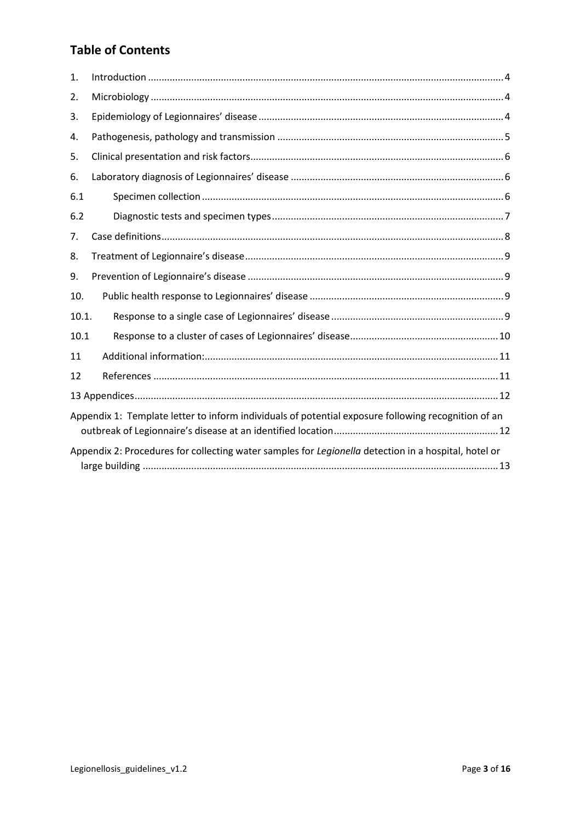# **Table of Contents**

| 1.                                                                                                   |  |  |
|------------------------------------------------------------------------------------------------------|--|--|
| 2.                                                                                                   |  |  |
| 3.                                                                                                   |  |  |
| 4.                                                                                                   |  |  |
| 5.                                                                                                   |  |  |
| 6.                                                                                                   |  |  |
| 6.1                                                                                                  |  |  |
| 6.2                                                                                                  |  |  |
| 7.                                                                                                   |  |  |
| 8.                                                                                                   |  |  |
| 9.                                                                                                   |  |  |
| 10.                                                                                                  |  |  |
| 10.1.                                                                                                |  |  |
| 10.1                                                                                                 |  |  |
| 11                                                                                                   |  |  |
| 12                                                                                                   |  |  |
|                                                                                                      |  |  |
| Appendix 1: Template letter to inform individuals of potential exposure following recognition of an  |  |  |
| Appendix 2: Procedures for collecting water samples for Legionella detection in a hospital, hotel or |  |  |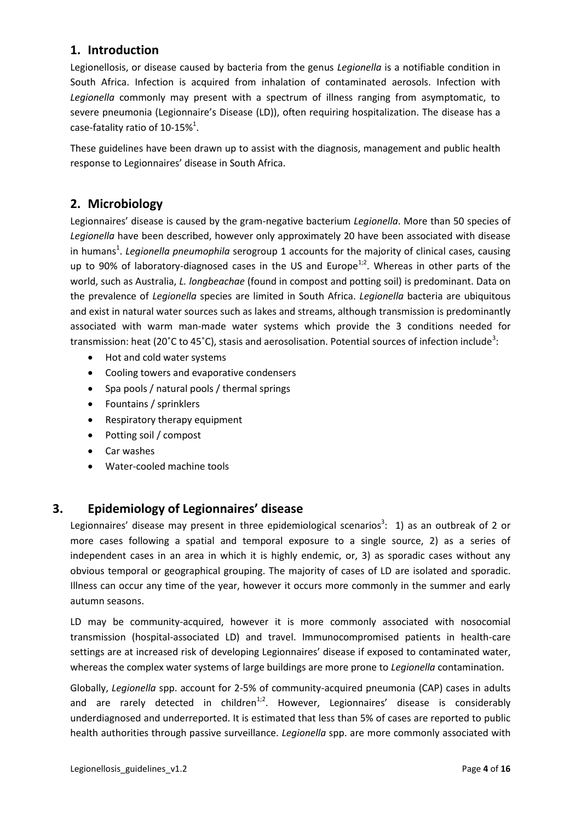# <span id="page-4-0"></span>**1. Introduction**

Legionellosis, or disease caused by bacteria from the genus *Legionella* is a notifiable condition in South Africa. Infection is acquired from inhalation of contaminated aerosols. Infection with *Legionella* commonly may present with a spectrum of illness ranging from asymptomatic, to severe pneumonia (Legionnaire's Disease (LD)), often requiring hospitalization. The disease has a case-fatality ratio of  $10-15\%$ <sup>1</sup>.

These guidelines have been drawn up to assist with the diagnosis, management and public health response to Legionnaires' disease in South Africa.

# <span id="page-4-1"></span>**2. Microbiology**

Legionnaires' disease is caused by the gram-negative bacterium *Legionella*. More than 50 species of *Legionella* have been described, however only approximately 20 have been associated with disease in humans<sup>1</sup>. Legionella pneumophila serogroup 1 accounts for the majority of clinical cases, causing up to 90% of laboratory-diagnosed cases in the US and Europe $^{1,2}$ . Whereas in other parts of the world, such as Australia, *L. longbeachae* (found in compost and potting soil) is predominant. Data on the prevalence of *Legionella* species are limited in South Africa. *Legionella* bacteria are ubiquitous and exist in natural water sources such as lakes and streams, although transmission is predominantly associated with warm man-made water systems which provide the 3 conditions needed for transmission: heat (20°C to 45°C), stasis and aerosolisation. Potential sources of infection include<sup>3</sup>:

- Hot and cold water systems
- Cooling towers and evaporative condensers
- Spa pools / natural pools / thermal springs
- Fountains / sprinklers
- Respiratory therapy equipment
- Potting soil / compost
- Car washes
- Water-cooled machine tools

# <span id="page-4-2"></span>**3. Epidemiology of Legionnaires' disease**

Legionnaires' disease may present in three epidemiological scenarios<sup>3</sup>: 1) as an outbreak of 2 or more cases following a spatial and temporal exposure to a single source, 2) as a series of independent cases in an area in which it is highly endemic, or, 3) as sporadic cases without any obvious temporal or geographical grouping. The majority of cases of LD are isolated and sporadic. Illness can occur any time of the year, however it occurs more commonly in the summer and early autumn seasons.

LD may be community-acquired, however it is more commonly associated with nosocomial transmission (hospital-associated LD) and travel. Immunocompromised patients in health-care settings are at increased risk of developing Legionnaires' disease if exposed to contaminated water, whereas the complex water systems of large buildings are more prone to *Legionella* contamination.

Globally, *Legionella* spp. account for 2-5% of community-acquired pneumonia (CAP) cases in adults and are rarely detected in children<sup>1;2</sup>. However, Legionnaires' disease is considerably underdiagnosed and underreported. It is estimated that less than 5% of cases are reported to public health authorities through passive surveillance. *Legionella* spp. are more commonly associated with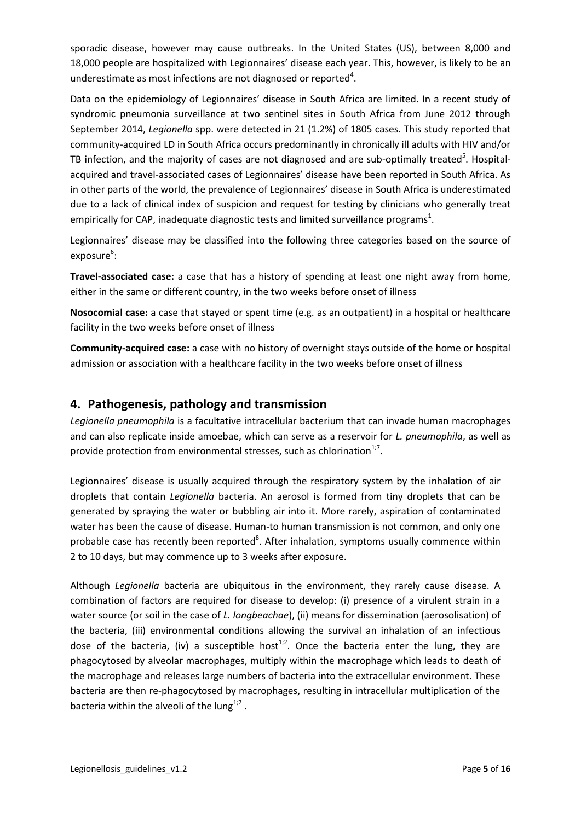sporadic disease, however may cause outbreaks. In the United States (US), between 8,000 and 18,000 people are hospitalized with Legionnaires' disease each year. This, however, is likely to be an underestimate as most infections are not diagnosed or reported $^4$ .

Data on the epidemiology of Legionnaires' disease in South Africa are limited. In a recent study of syndromic pneumonia surveillance at two sentinel sites in South Africa from June 2012 through September 2014, *Legionella* spp. were detected in 21 (1.2%) of 1805 cases. This study reported that community-acquired LD in South Africa occurs predominantly in chronically ill adults with HIV and/or TB infection, and the majority of cases are not diagnosed and are sub-optimally treated<sup>5</sup>. Hospitalacquired and travel-associated cases of Legionnaires' disease have been reported in South Africa. As in other parts of the world, the prevalence of Legionnaires' disease in South Africa is underestimated due to a lack of clinical index of suspicion and request for testing by clinicians who generally treat empirically for CAP, inadequate diagnostic tests and limited surveillance programs<sup>1</sup>.

Legionnaires' disease may be classified into the following three categories based on the source of exposure<sup>6</sup>:

**Travel-associated case:** a case that has a history of spending at least one night away from home, either in the same or different country, in the two weeks before onset of illness

**Nosocomial case:** a case that stayed or spent time (e.g. as an outpatient) in a hospital or healthcare facility in the two weeks before onset of illness

**Community-acquired case:** a case with no history of overnight stays outside of the home or hospital admission or association with a healthcare facility in the two weeks before onset of illness

## <span id="page-5-0"></span>**4. Pathogenesis, pathology and transmission**

*Legionella pneumophila* is a facultative intracellular bacterium that can invade human macrophages and can also replicate inside amoebae, which can serve as a reservoir for *L. pneumophila*, as well as provide protection from environmental stresses, such as chlorination $1/7$ .

Legionnaires' disease is usually acquired through the respiratory system by the inhalation of air droplets that contain *Legionella* bacteria. An aerosol is formed from tiny droplets that can be generated by spraying the water or bubbling air into it. More rarely, aspiration of contaminated water has been the cause of disease. Human-to human transmission is not common, and only one probable case has recently been reported<sup>8</sup>. After inhalation, symptoms usually commence within 2 to 10 days, but may commence up to 3 weeks after exposure.

Although *Legionella* bacteria are ubiquitous in the environment, they rarely cause disease. A combination of factors are required for disease to develop: (i) presence of a virulent strain in a water source (or soil in the case of *L. longbeachae*), (ii) means for dissemination (aerosolisation) of the bacteria, (iii) environmental conditions allowing the survival an inhalation of an infectious dose of the bacteria, (iv) a susceptible host<sup>1;2</sup>. Once the bacteria enter the lung, they are phagocytosed by alveolar macrophages, multiply within the macrophage which leads to death of the macrophage and releases large numbers of bacteria into the extracellular environment. These bacteria are then re-phagocytosed by macrophages, resulting in intracellular multiplication of the bacteria within the alveoli of the lung<sup>1;7</sup>.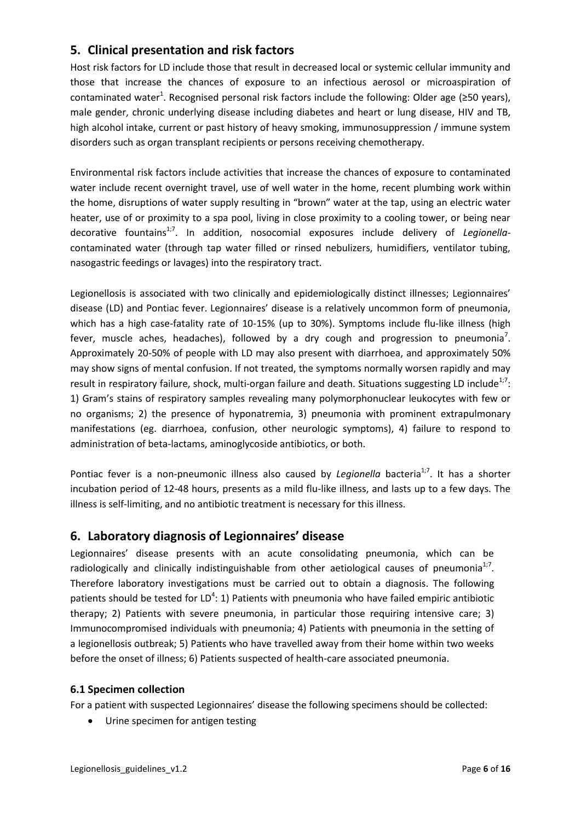# <span id="page-6-0"></span>**5. Clinical presentation and risk factors**

Host risk factors for LD include those that result in decreased local or systemic cellular immunity and those that increase the chances of exposure to an infectious aerosol or microaspiration of contaminated water<sup>1</sup>. Recognised personal risk factors include the following: Older age (≥50 years), male gender, chronic underlying disease including diabetes and heart or lung disease, HIV and TB, high alcohol intake, current or past history of heavy smoking, immunosuppression / immune system disorders such as organ transplant recipients or persons receiving chemotherapy.

Environmental risk factors include activities that increase the chances of exposure to contaminated water include recent overnight travel, use of well water in the home, recent plumbing work within the home, disruptions of water supply resulting in "brown" water at the tap, using an electric water heater, use of or proximity to a spa pool, living in close proximity to a cooling tower, or being near decorative fountains<sup>1;7</sup>. In addition, nosocomial exposures include delivery of *Legionella*contaminated water (through tap water filled or rinsed nebulizers, humidifiers, ventilator tubing, nasogastric feedings or lavages) into the respiratory tract.

Legionellosis is associated with two clinically and epidemiologically distinct illnesses; Legionnaires' disease (LD) and Pontiac fever. Legionnaires' disease is a relatively uncommon form of pneumonia, which has a high case-fatality rate of 10-15% (up to 30%). Symptoms include flu-like illness (high fever, muscle aches, headaches), followed by a dry cough and progression to pneumonia<sup>7</sup>. Approximately 20-50% of people with LD may also present with diarrhoea, and approximately 50% may show signs of mental confusion. If not treated, the symptoms normally worsen rapidly and may result in respiratory failure, shock, multi-organ failure and death. Situations suggesting LD include<sup>1;7</sup>: 1) Gram's stains of respiratory samples revealing many polymorphonuclear leukocytes with few or no organisms; 2) the presence of hyponatremia, 3) pneumonia with prominent extrapulmonary manifestations (eg. diarrhoea, confusion, other neurologic symptoms), 4) failure to respond to administration of beta-lactams, aminoglycoside antibiotics, or both.

Pontiac fever is a non-pneumonic illness also caused by *Legionella* bacteria<sup>1;7</sup>. It has a shorter incubation period of 12-48 hours, presents as a mild flu-like illness, and lasts up to a few days. The illness is self-limiting, and no antibiotic treatment is necessary for this illness.

# <span id="page-6-1"></span>**6. Laboratory diagnosis of Legionnaires' disease**

Legionnaires' disease presents with an acute consolidating pneumonia, which can be radiologically and clinically indistinguishable from other aetiological causes of pneumonia $^{1,7}$ . Therefore laboratory investigations must be carried out to obtain a diagnosis. The following patients should be tested for LD<sup>4</sup>: 1) Patients with pneumonia who have failed empiric antibiotic therapy; 2) Patients with severe pneumonia, in particular those requiring intensive care; 3) Immunocompromised individuals with pneumonia; 4) Patients with pneumonia in the setting of a legionellosis outbreak; 5) Patients who have travelled away from their home within two weeks before the onset of illness; 6) Patients suspected of health-care associated pneumonia.

## <span id="page-6-2"></span>**6.1 Specimen collection**

For a patient with suspected Legionnaires' disease the following specimens should be collected:

Urine specimen for antigen testing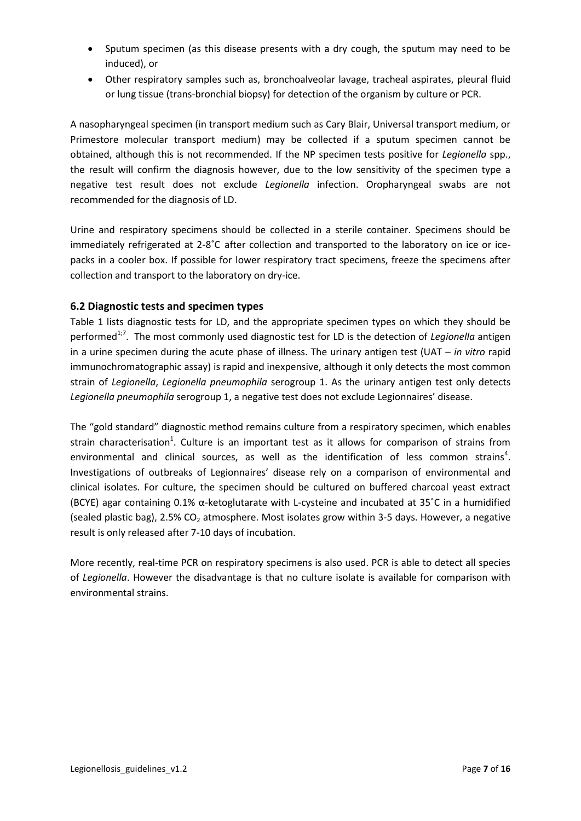- Sputum specimen (as this disease presents with a dry cough, the sputum may need to be induced), or
- Other respiratory samples such as, bronchoalveolar lavage, tracheal aspirates, pleural fluid or lung tissue (trans-bronchial biopsy) for detection of the organism by culture or PCR.

A nasopharyngeal specimen (in transport medium such as Cary Blair, Universal transport medium, or Primestore molecular transport medium) may be collected if a sputum specimen cannot be obtained, although this is not recommended. If the NP specimen tests positive for *Legionella* spp., the result will confirm the diagnosis however, due to the low sensitivity of the specimen type a negative test result does not exclude *Legionella* infection. Oropharyngeal swabs are not recommended for the diagnosis of LD.

Urine and respiratory specimens should be collected in a sterile container. Specimens should be immediately refrigerated at 2-8˚C after collection and transported to the laboratory on ice or icepacks in a cooler box. If possible for lower respiratory tract specimens, freeze the specimens after collection and transport to the laboratory on dry-ice.

## <span id="page-7-0"></span>**6.2 Diagnostic tests and specimen types**

Table 1 lists diagnostic tests for LD, and the appropriate specimen types on which they should be performed<sup>1;7</sup>. The most commonly used diagnostic test for LD is the detection of Legionella antigen in a urine specimen during the acute phase of illness. The urinary antigen test (UAT – *in vitro* rapid immunochromatographic assay) is rapid and inexpensive, although it only detects the most common strain of *Legionella*, *Legionella pneumophila* serogroup 1. As the urinary antigen test only detects *Legionella pneumophila* serogroup 1, a negative test does not exclude Legionnaires' disease.

The "gold standard" diagnostic method remains culture from a respiratory specimen, which enables strain characterisation<sup>1</sup>. Culture is an important test as it allows for comparison of strains from environmental and clinical sources, as well as the identification of less common strains<sup>4</sup>. Investigations of outbreaks of Legionnaires' disease rely on a comparison of environmental and clinical isolates. For culture, the specimen should be cultured on buffered charcoal yeast extract (BCYE) agar containing 0.1% α-ketoglutarate with L-cysteine and incubated at 35˚C in a humidified (sealed plastic bag), 2.5%  $CO<sub>2</sub>$  atmosphere. Most isolates grow within 3-5 days. However, a negative result is only released after 7-10 days of incubation.

More recently, real-time PCR on respiratory specimens is also used. PCR is able to detect all species of *Legionella*. However the disadvantage is that no culture isolate is available for comparison with environmental strains.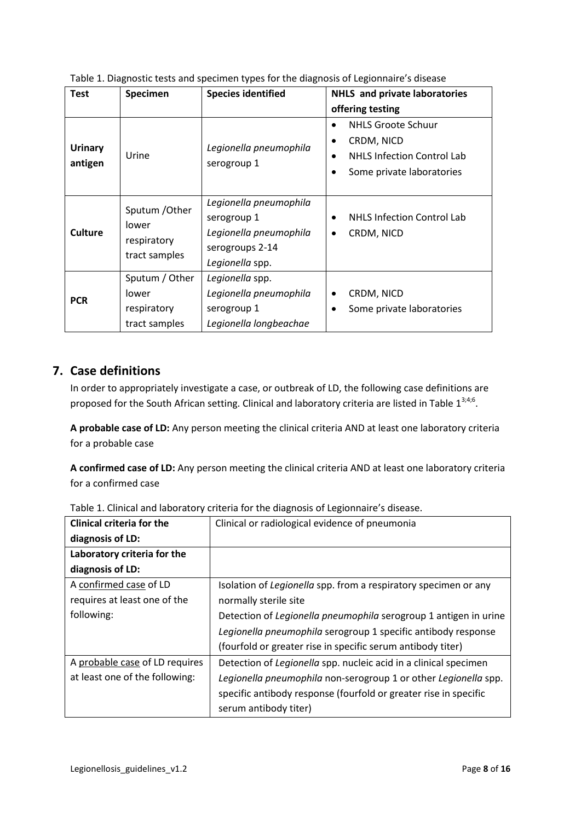| <b>Test</b>               | Specimen                                                | <b>Species identified</b>                                                                             | <b>NHLS</b> and private laboratories                                                                      |
|---------------------------|---------------------------------------------------------|-------------------------------------------------------------------------------------------------------|-----------------------------------------------------------------------------------------------------------|
|                           |                                                         |                                                                                                       | offering testing                                                                                          |
| <b>Urinary</b><br>antigen | Urine                                                   | Legionella pneumophila<br>serogroup 1                                                                 | <b>NHLS Groote Schuur</b><br>CRDM, NICD<br><b>NHLS Infection Control Lab</b><br>Some private laboratories |
| <b>Culture</b>            | Sputum / Other<br>lower<br>respiratory<br>tract samples | Legionella pneumophila<br>serogroup 1<br>Legionella pneumophila<br>serogroups 2-14<br>Legionella spp. | <b>NHLS Infection Control Lab</b><br>CRDM, NICD                                                           |
| <b>PCR</b>                | Sputum / Other<br>lower<br>respiratory<br>tract samples | Legionella spp.<br>Legionella pneumophila<br>serogroup 1<br>Legionella longbeachae                    | CRDM, NICD<br>Some private laboratories                                                                   |

Table 1. Diagnostic tests and specimen types for the diagnosis of Legionnaire's disease

# <span id="page-8-0"></span>**7. Case definitions**

In order to appropriately investigate a case, or outbreak of LD, the following case definitions are proposed for the South African setting. Clinical and laboratory criteria are listed in Table  $1^{3,4,6}$ .

**A probable case of LD:** Any person meeting the clinical criteria AND at least one laboratory criteria for a probable case

**A confirmed case of LD:** Any person meeting the clinical criteria AND at least one laboratory criteria for a confirmed case

| <b>Clinical criteria for the</b> | Clinical or radiological evidence of pneumonia                   |  |
|----------------------------------|------------------------------------------------------------------|--|
| diagnosis of LD:                 |                                                                  |  |
| Laboratory criteria for the      |                                                                  |  |
| diagnosis of LD:                 |                                                                  |  |
| A confirmed case of LD           | Isolation of Legionella spp. from a respiratory specimen or any  |  |
| requires at least one of the     | normally sterile site                                            |  |
| following:                       | Detection of Legionella pneumophila serogroup 1 antigen in urine |  |
|                                  | Legionella pneumophila serogroup 1 specific antibody response    |  |
|                                  | (fourfold or greater rise in specific serum antibody titer)      |  |
| A probable case of LD requires   | Detection of Legionella spp. nucleic acid in a clinical specimen |  |
| at least one of the following:   | Legionella pneumophila non-serogroup 1 or other Legionella spp.  |  |
|                                  | specific antibody response (fourfold or greater rise in specific |  |
|                                  | serum antibody titer)                                            |  |

Table 1. Clinical and laboratory criteria for the diagnosis of Legionnaire's disease.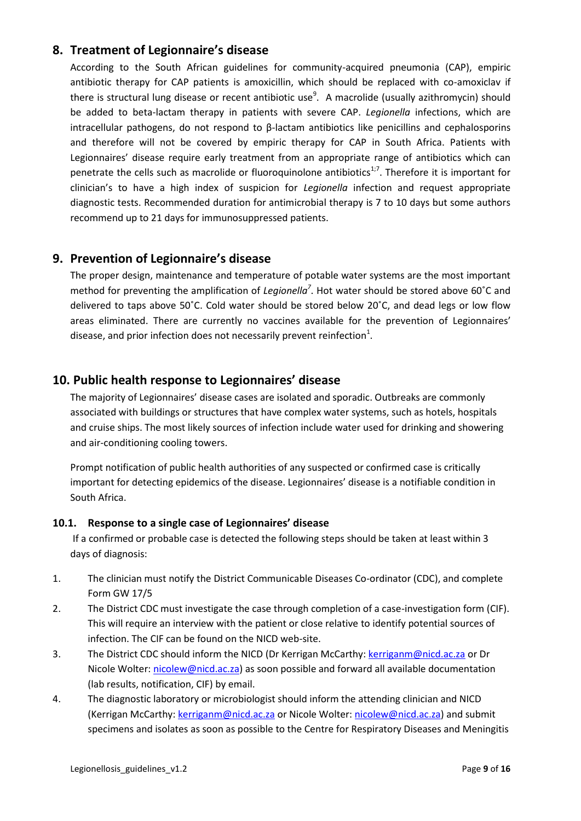# <span id="page-9-0"></span>**8. Treatment of Legionnaire's disease**

According to the South African guidelines for community-acquired pneumonia (CAP), empiric antibiotic therapy for CAP patients is amoxicillin, which should be replaced with co-amoxiclav if there is structural lung disease or recent antibiotic use<sup>9</sup>. A macrolide (usually azithromycin) should be added to beta-lactam therapy in patients with severe CAP. *Legionella* infections, which are intracellular pathogens, do not respond to β-lactam antibiotics like penicillins and cephalosporins and therefore will not be covered by empiric therapy for CAP in South Africa. Patients with Legionnaires' disease require early treatment from an appropriate range of antibiotics which can penetrate the cells such as macrolide or fluoroquinolone antibiotics<sup>1;7</sup>. Therefore it is important for clinician's to have a high index of suspicion for *Legionella* infection and request appropriate diagnostic tests. Recommended duration for antimicrobial therapy is 7 to 10 days but some authors recommend up to 21 days for immunosuppressed patients.

## <span id="page-9-1"></span>**9. Prevention of Legionnaire's disease**

The proper design, maintenance and temperature of potable water systems are the most important method for preventing the amplification of *Legionella<sup>7</sup>*. Hot water should be stored above 60°C and delivered to taps above 50˚C. Cold water should be stored below 20˚C, and dead legs or low flow areas eliminated. There are currently no vaccines available for the prevention of Legionnaires' disease, and prior infection does not necessarily prevent reinfection<sup>1</sup>.

## <span id="page-9-2"></span>**10. Public health response to Legionnaires' disease**

The majority of Legionnaires' disease cases are isolated and sporadic. Outbreaks are commonly associated with buildings or structures that have complex water systems, such as hotels, hospitals and cruise ships. The most likely sources of infection include water used for drinking and showering and air-conditioning cooling towers.

Prompt notification of public health authorities of any suspected or confirmed case is critically important for detecting epidemics of the disease. Legionnaires' disease is a notifiable condition in South Africa.

## <span id="page-9-3"></span>**10.1. Response to a single case of Legionnaires' disease**

If a confirmed or probable case is detected the following steps should be taken at least within 3 days of diagnosis:

- 1. The clinician must notify the District Communicable Diseases Co-ordinator (CDC), and complete Form GW 17/5
- 2. The District CDC must investigate the case through completion of a case-investigation form (CIF). This will require an interview with the patient or close relative to identify potential sources of infection. The CIF can be found on the NICD web-site.
- 3. The District CDC should inform the NICD (Dr Kerrigan McCarthy[: kerriganm@nicd.ac.za](mailto:kerriganm@nicd.ac.za) or Dr Nicole Wolter: [nicolew@nicd.ac.za\)](mailto:nicolew@nicd.ac.za) as soon possible and forward all available documentation (lab results, notification, CIF) by email.
- 4. The diagnostic laboratory or microbiologist should inform the attending clinician and NICD (Kerrigan McCarthy: [kerriganm@nicd.ac.za](mailto:kerriganm@nicd.ac.za) or Nicole Wolter[: nicolew@nicd.ac.za\)](mailto:nicolew@nicd.ac.za) and submit specimens and isolates as soon as possible to the Centre for Respiratory Diseases and Meningitis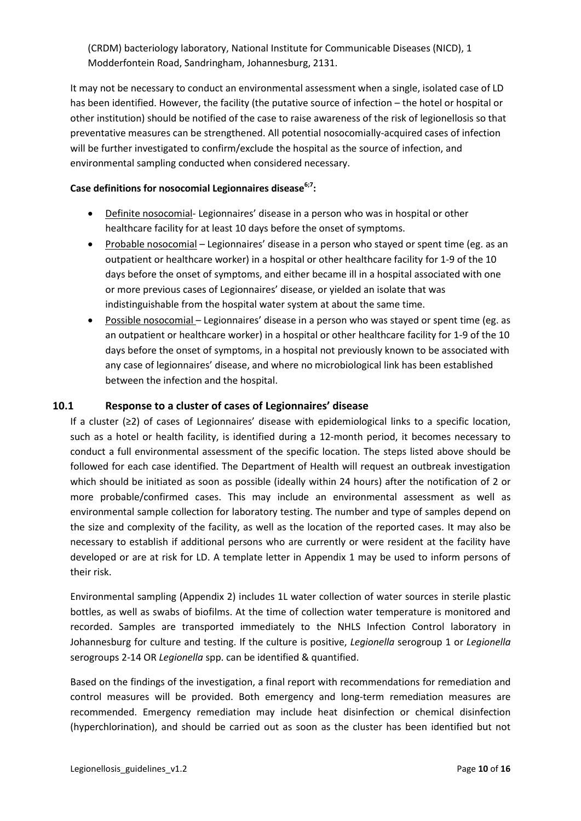(CRDM) bacteriology laboratory, National Institute for Communicable Diseases (NICD), 1 Modderfontein Road, Sandringham, Johannesburg, 2131.

It may not be necessary to conduct an environmental assessment when a single, isolated case of LD has been identified. However, the facility (the putative source of infection – the hotel or hospital or other institution) should be notified of the case to raise awareness of the risk of legionellosis so that preventative measures can be strengthened. All potential nosocomially-acquired cases of infection will be further investigated to confirm/exclude the hospital as the source of infection, and environmental sampling conducted when considered necessary.

### **Case definitions for nosocomial Legionnaires disease6;7:**

- Definite nosocomial- Legionnaires' disease in a person who was in hospital or other healthcare facility for at least 10 days before the onset of symptoms.
- Probable nosocomial Legionnaires' disease in a person who stayed or spent time (eg. as an outpatient or healthcare worker) in a hospital or other healthcare facility for 1-9 of the 10 days before the onset of symptoms, and either became ill in a hospital associated with one or more previous cases of Legionnaires' disease, or yielded an isolate that was indistinguishable from the hospital water system at about the same time.
- Possible nosocomial Legionnaires' disease in a person who was stayed or spent time (eg. as an outpatient or healthcare worker) in a hospital or other healthcare facility for 1-9 of the 10 days before the onset of symptoms, in a hospital not previously known to be associated with any case of legionnaires' disease, and where no microbiological link has been established between the infection and the hospital.

## <span id="page-10-0"></span>**10.1 Response to a cluster of cases of Legionnaires' disease**

If a cluster (≥2) of cases of Legionnaires' disease with epidemiological links to a specific location, such as a hotel or health facility, is identified during a 12-month period, it becomes necessary to conduct a full environmental assessment of the specific location. The steps listed above should be followed for each case identified. The Department of Health will request an outbreak investigation which should be initiated as soon as possible (ideally within 24 hours) after the notification of 2 or more probable/confirmed cases. This may include an environmental assessment as well as environmental sample collection for laboratory testing. The number and type of samples depend on the size and complexity of the facility, as well as the location of the reported cases. It may also be necessary to establish if additional persons who are currently or were resident at the facility have developed or are at risk for LD. A template letter in Appendix 1 may be used to inform persons of their risk.

Environmental sampling (Appendix 2) includes 1L water collection of water sources in sterile plastic bottles, as well as swabs of biofilms. At the time of collection water temperature is monitored and recorded. Samples are transported immediately to the NHLS Infection Control laboratory in Johannesburg for culture and testing. If the culture is positive, *Legionella* serogroup 1 or *Legionella*  serogroups 2-14 OR *Legionella* spp. can be identified & quantified.

Based on the findings of the investigation, a final report with recommendations for remediation and control measures will be provided. Both emergency and long-term remediation measures are recommended. Emergency remediation may include heat disinfection or chemical disinfection (hyperchlorination), and should be carried out as soon as the cluster has been identified but not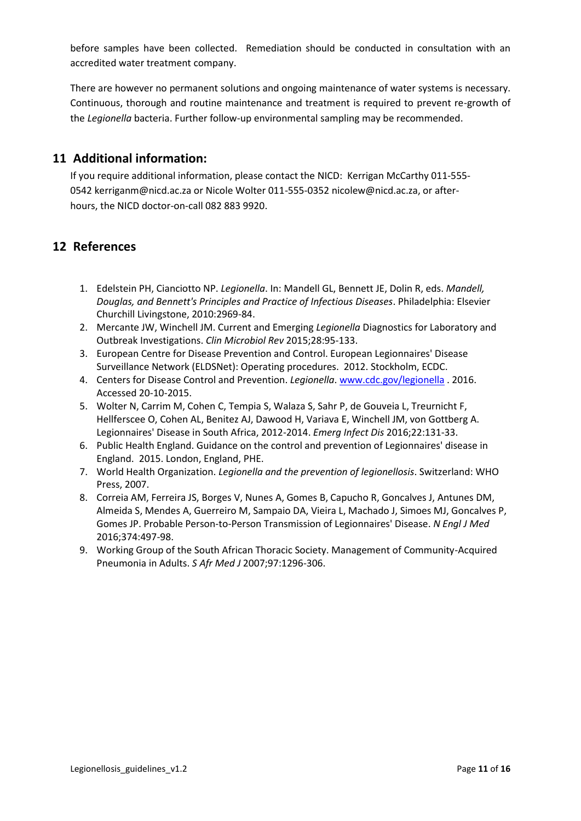before samples have been collected. Remediation should be conducted in consultation with an accredited water treatment company.

There are however no permanent solutions and ongoing maintenance of water systems is necessary. Continuous, thorough and routine maintenance and treatment is required to prevent re-growth of the *Legionella* bacteria. Further follow-up environmental sampling may be recommended.

## <span id="page-11-0"></span>**11 Additional information:**

If you require additional information, please contact the NICD: Kerrigan McCarthy 011-555- 0542 kerriganm@nicd.ac.za or Nicole Wolter 011-555-0352 nicolew@nicd.ac.za, or afterhours, the NICD doctor-on-call 082 883 9920.

# <span id="page-11-1"></span>**12 References**

- 1. Edelstein PH, Cianciotto NP. *Legionella*. In: Mandell GL, Bennett JE, Dolin R, eds. *Mandell, Douglas, and Bennett's Principles and Practice of Infectious Diseases*. Philadelphia: Elsevier Churchill Livingstone, 2010:2969-84.
- 2. Mercante JW, Winchell JM. Current and Emerging *Legionella* Diagnostics for Laboratory and Outbreak Investigations. *Clin Microbiol Rev* 2015;28:95-133.
- 3. European Centre for Disease Prevention and Control. European Legionnaires' Disease Surveillance Network (ELDSNet): Operating procedures. 2012. Stockholm, ECDC.
- 4. Centers for Disease Control and Prevention. *Legionella*. [www.cdc.gov/legionella](http://www.cdc.gov/legionella) . 2016. Accessed 20-10-2015.
- 5. Wolter N, Carrim M, Cohen C, Tempia S, Walaza S, Sahr P, de Gouveia L, Treurnicht F, Hellferscee O, Cohen AL, Benitez AJ, Dawood H, Variava E, Winchell JM, von Gottberg A. Legionnaires' Disease in South Africa, 2012-2014. *Emerg Infect Dis* 2016;22:131-33.
- 6. Public Health England. Guidance on the control and prevention of Legionnaires' disease in England. 2015. London, England, PHE.
- 7. World Health Organization. *Legionella and the prevention of legionellosis*. Switzerland: WHO Press, 2007.
- 8. Correia AM, Ferreira JS, Borges V, Nunes A, Gomes B, Capucho R, Goncalves J, Antunes DM, Almeida S, Mendes A, Guerreiro M, Sampaio DA, Vieira L, Machado J, Simoes MJ, Goncalves P, Gomes JP. Probable Person-to-Person Transmission of Legionnaires' Disease. *N Engl J Med* 2016;374:497-98.
- 9. Working Group of the South African Thoracic Society. Management of Community-Acquired Pneumonia in Adults. *S Afr Med J* 2007;97:1296-306.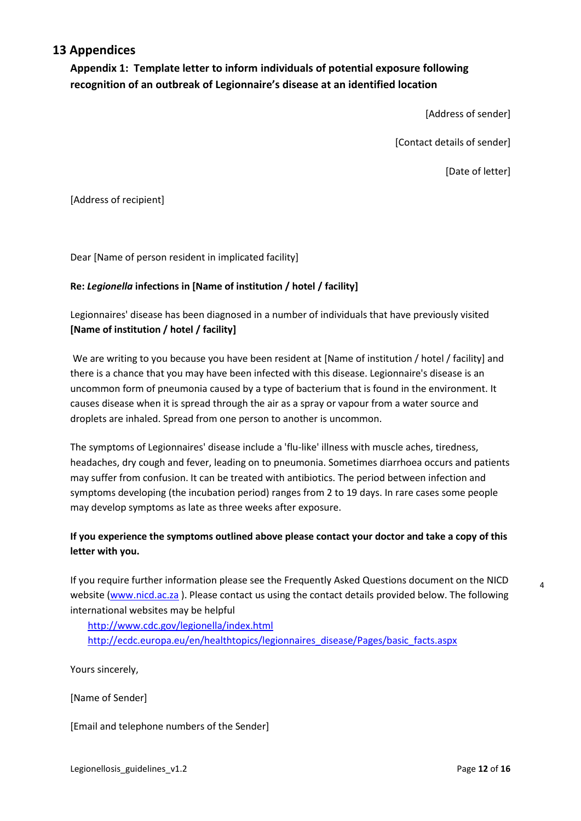## <span id="page-12-0"></span>**13 Appendices**

<span id="page-12-1"></span>**Appendix 1: Template letter to inform individuals of potential exposure following recognition of an outbreak of Legionnaire's disease at an identified location**

[Address of sender]

[Contact details of sender]

[Date of letter]

[Address of recipient]

Dear [Name of person resident in implicated facility]

### **Re:** *Legionella* **infections in [Name of institution / hotel / facility]**

Legionnaires' disease has been diagnosed in a number of individuals that have previously visited **[Name of institution / hotel / facility]**

We are writing to you because you have been resident at [Name of institution / hotel / facility] and there is a chance that you may have been infected with this disease. Legionnaire's disease is an uncommon form of pneumonia caused by a type of bacterium that is found in the environment. It causes disease when it is spread through the air as a spray or vapour from a water source and droplets are inhaled. Spread from one person to another is uncommon.

The symptoms of Legionnaires' disease include a 'flu-like' illness with muscle aches, tiredness, headaches, dry cough and fever, leading on to pneumonia. Sometimes diarrhoea occurs and patients may suffer from confusion. It can be treated with antibiotics. The period between infection and symptoms developing (the incubation period) ranges from 2 to 19 days. In rare cases some people may develop symptoms as late as three weeks after exposure.

## **If you experience the symptoms outlined above please contact your doctor and take a copy of this letter with you.**

If you require further information please see the Frequently Asked Questions document on the NICD website [\(www.nicd.ac.za](http://www.nicd.ac.za/) ). Please contact us using the contact details provided below. The following international websites may be helpful

<http://www.cdc.gov/legionella/index.html> [http://ecdc.europa.eu/en/healthtopics/legionnaires\\_disease/Pages/basic\\_facts.aspx](http://ecdc.europa.eu/en/healthtopics/legionnaires_disease/Pages/basic_facts.aspx)

Yours sincerely,

[Name of Sender]

[Email and telephone numbers of the Sender]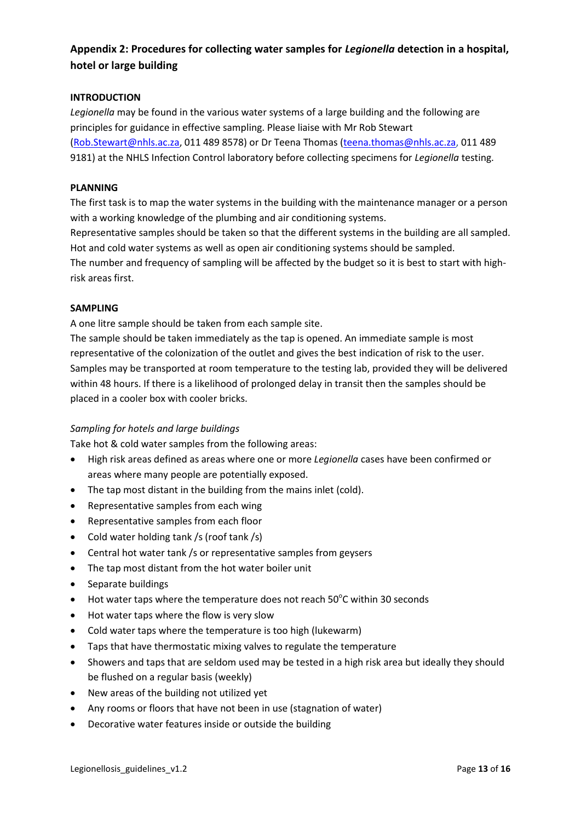## <span id="page-13-0"></span>**Appendix 2: Procedures for collecting water samples for** *Legionella* **detection in a hospital, hotel or large building**

#### **INTRODUCTION**

*Legionella* may be found in the various water systems of a large building and the following are principles for guidance in effective sampling. Please liaise with Mr Rob Stewart [\(Rob.Stewart@nhls.ac.za,](mailto:Rob.Stewart@nhls.ac.za) 011 489 8578) or Dr Teena Thomas [\(teena.thomas@nhls.ac.za,](mailto:teena.thomas@nhls.ac.za) 011 489 9181) at the NHLS Infection Control laboratory before collecting specimens for *Legionella* testing.

### **PLANNING**

The first task is to map the water systems in the building with the maintenance manager or a person with a working knowledge of the plumbing and air conditioning systems.

Representative samples should be taken so that the different systems in the building are all sampled. Hot and cold water systems as well as open air conditioning systems should be sampled.

The number and frequency of sampling will be affected by the budget so it is best to start with highrisk areas first.

#### **SAMPLING**

A one litre sample should be taken from each sample site.

The sample should be taken immediately as the tap is opened. An immediate sample is most representative of the colonization of the outlet and gives the best indication of risk to the user. Samples may be transported at room temperature to the testing lab, provided they will be delivered within 48 hours. If there is a likelihood of prolonged delay in transit then the samples should be placed in a cooler box with cooler bricks.

#### *Sampling for hotels and large buildings*

Take hot & cold water samples from the following areas:

- High risk areas defined as areas where one or more *Legionella* cases have been confirmed or areas where many people are potentially exposed.
- The tap most distant in the building from the mains inlet (cold).
- Representative samples from each wing
- Representative samples from each floor
- Cold water holding tank /s (roof tank /s)
- Central hot water tank /s or representative samples from geysers
- The tap most distant from the hot water boiler unit
- Separate buildings
- $\bullet$  Hot water taps where the temperature does not reach 50°C within 30 seconds
- Hot water taps where the flow is very slow
- Cold water taps where the temperature is too high (lukewarm)
- Taps that have thermostatic mixing valves to regulate the temperature
- Showers and taps that are seldom used may be tested in a high risk area but ideally they should be flushed on a regular basis (weekly)
- New areas of the building not utilized yet
- Any rooms or floors that have not been in use (stagnation of water)
- Decorative water features inside or outside the building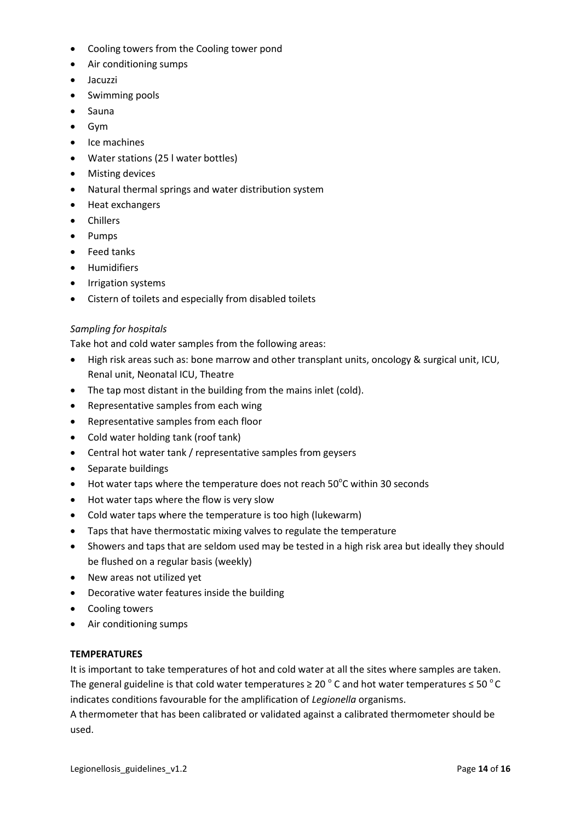- Cooling towers from the Cooling tower pond
- Air conditioning sumps
- Jacuzzi
- Swimming pools
- Sauna
- Gym
- Ice machines
- Water stations (25 l water bottles)
- Misting devices
- Natural thermal springs and water distribution system
- Heat exchangers
- Chillers
- Pumps
- Feed tanks
- **•** Humidifiers
- Irrigation systems
- Cistern of toilets and especially from disabled toilets

#### *Sampling for hospitals*

Take hot and cold water samples from the following areas:

- High risk areas such as: bone marrow and other transplant units, oncology & surgical unit, ICU, Renal unit, Neonatal ICU, Theatre
- The tap most distant in the building from the mains inlet (cold).
- Representative samples from each wing
- Representative samples from each floor
- Cold water holding tank (roof tank)
- Central hot water tank / representative samples from geysers
- Separate buildings
- $\bullet$  Hot water taps where the temperature does not reach 50°C within 30 seconds
- Hot water taps where the flow is very slow
- Cold water taps where the temperature is too high (lukewarm)
- Taps that have thermostatic mixing valves to regulate the temperature
- Showers and taps that are seldom used may be tested in a high risk area but ideally they should be flushed on a regular basis (weekly)
- New areas not utilized yet
- Decorative water features inside the building
- Cooling towers
- Air conditioning sumps

#### **TEMPERATURES**

It is important to take temperatures of hot and cold water at all the sites where samples are taken. The general guideline is that cold water temperatures ≥ 20  $^{\circ}$  C and hot water temperatures  $\leq$  50  $^{\circ}$  C indicates conditions favourable for the amplification of *Legionella* organisms.

A thermometer that has been calibrated or validated against a calibrated thermometer should be used.